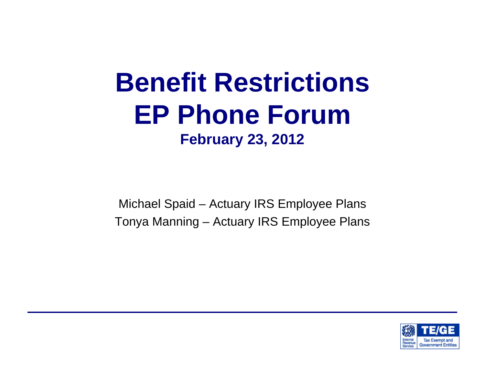#### **Benefit Restrictions EP Phone Forum February 23, 2012**

Michael Spaid – Actuary IRS Employee Plans Tonya Manning – Actuary IRS Employee Plans

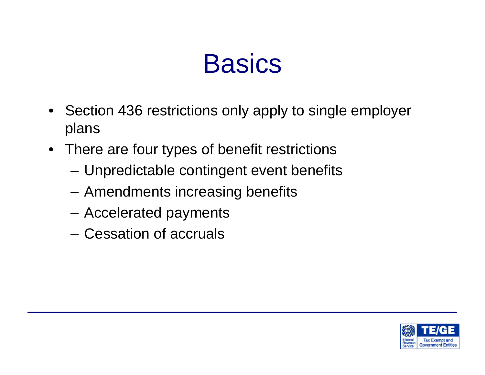### **Basics**

- Section 436 restrictions only apply to single employer plans
- There are four types of benefit restrictions
	- Unpredictable contingent event benefits
	- Amendments increasing benefits
	- Accelerated payments
	- Cessation of accruals

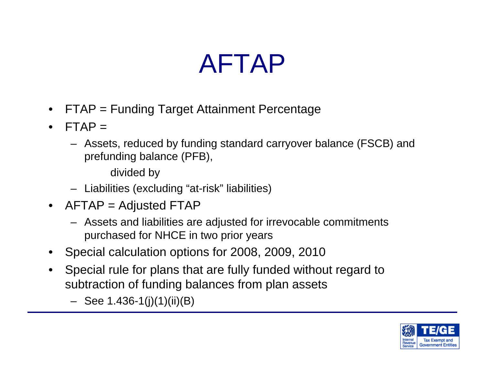## AFTAP

- FTAP = Funding Target Attainment Percentage
- $FTAP =$ 
	- Assets, reduced by funding standard carryover balance (FSCB) and prefunding balance (PFB),

divided by

- Liabilities (excluding "at-risk" liabilities)
- AFTAP = Adjusted FTAP
	- Assets and liabilities are adjusted for irrevocable commitments purchased for NHCE in two prior years
- Special calculation options for 2008, 2009, 2010
- Special rule for plans that are fully funded without regard to subtraction of funding balances from plan assets
	- $-$  See 1.436-1(j)(1)(ii)(B)

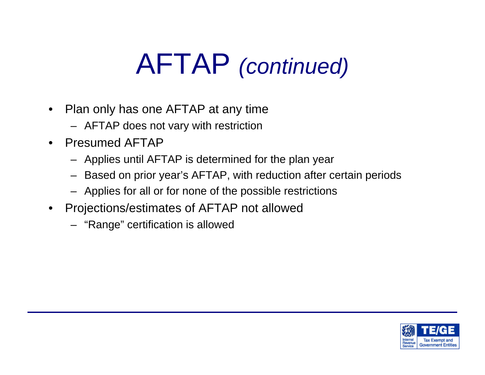# AFTAP *(continued)*

- Plan only has one AFTAP at any time
	- AFTAP does not vary with restriction
- Presumed AFTAP
	- Applies until AFTAP is determined for the plan year
	- Based on prior year's AFTAP, with reduction after certain periods
	- Applies for all or for none of the possible restrictions
- Projections/estimates of AFTAP not allowed
	- "Range" certification is allowed

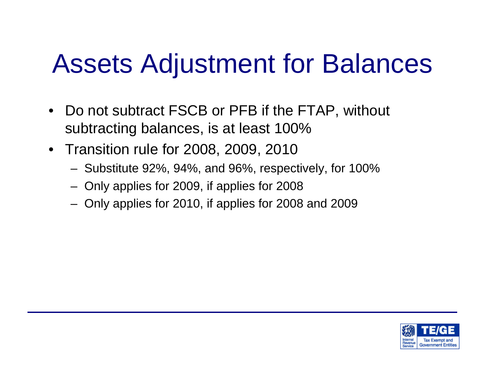## Assets Adjustment for Balances

- Do not subtract FSCB or PFB if the FTAP, without subtracting balances, is at least 100%
- Transition rule for 2008, 2009, 2010
	- Substitute 92%, 94%, and 96%, respectively, for 100%
	- Only applies for 2009, if applies for 2008
	- Only applies for 2010, if applies for 2008 and 2009

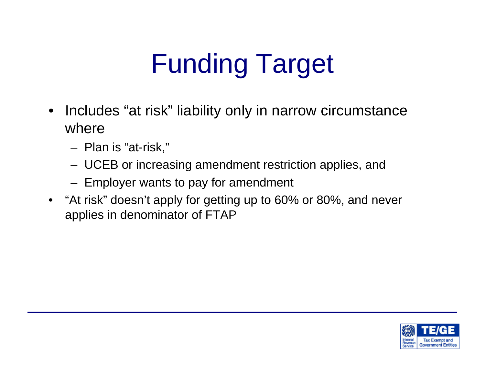# Funding Target

- Includes "at risk" liability only in narrow circumstance where
	- Plan is "at-risk,"
	- UCEB or increasing amendment restriction applies, and
	- Employer wants to pay for amendment
- "At risk" doesn't apply for getting up to 60% or 80%, and never applies in denominator of FTAP

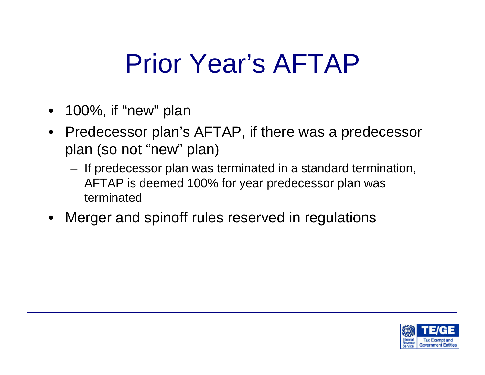## Prior Year's AFTAP

- 100%, if "new" plan
- Predecessor plan's AFTAP, if there was a predecessor plan (so not "new" plan)
	- If predecessor plan was terminated in a standard termination, AFTAP is deemed 100% for year predecessor plan was terminated
- Merger and spinoff rules reserved in regulations

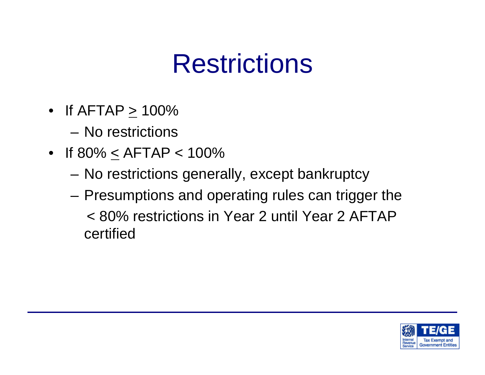## Restrictions

- If  $AFTAP > 100\%$ 
	- No restrictions
- If 80% < AFTAP < 100%
	- No restrictions generally, except bankruptcy
	- Presumptions and operating rules can trigger the < 80% restrictions in Year 2 until Year 2 AFTAP certified

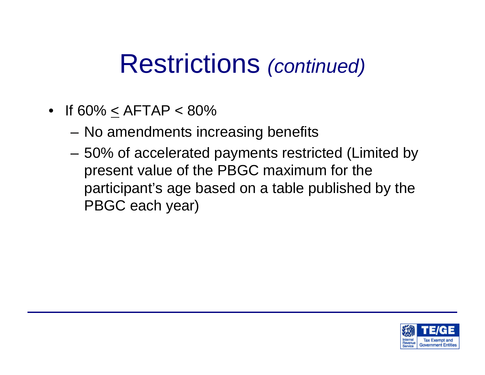- If 60% < AFTAP < 80%
	- No amendments increasing benefits
	- 50% of accelerated payments restricted (Limited by present value of the PBGC maximum for the participant's age based on a table published by the PBGC each year)

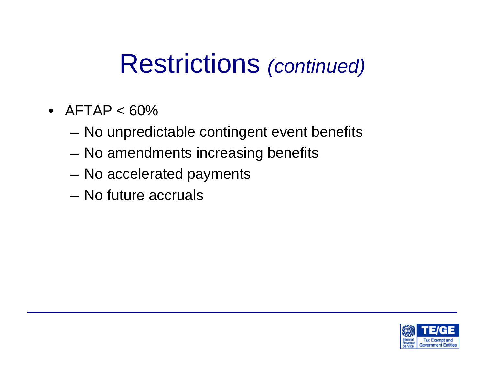- AFTAP  $< 60\%$ 
	- No unpredictable contingent event benefits
	- No amendments increasing benefits
	- No accelerated payments
	- No future accruals

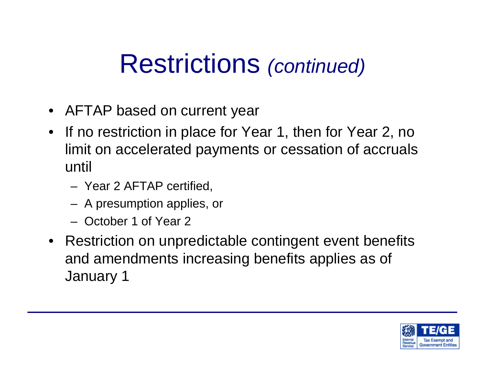- AFTAP based on current year
- If no restriction in place for Year 1, then for Year 2, no limit on accelerated payments or cessation of accruals until
	- Year 2 AFTAP certified,
	- A presumption applies, or
	- October 1 of Year 2
- Restriction on unpredictable contingent event benefits and amendments increasing benefits applies as of January 1

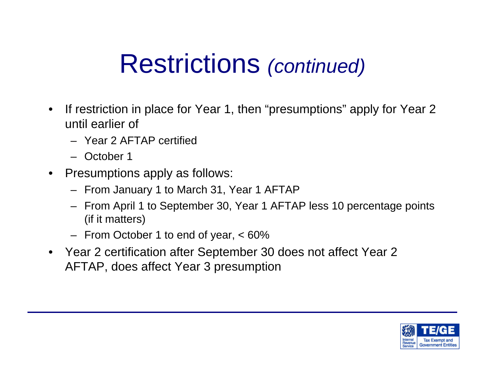- If restriction in place for Year 1, then "presumptions" apply for Year 2 until earlier of
	- Year 2 AFTAP certified
	- October 1
- Presumptions apply as follows:
	- From January 1 to March 31, Year 1 AFTAP
	- From April 1 to September 30, Year 1 AFTAP less 10 percentage points (if it matters)
	- From October 1 to end of year, < 60%
- Year 2 certification after September 30 does not affect Year 2 AFTAP, does affect Year 3 presumption

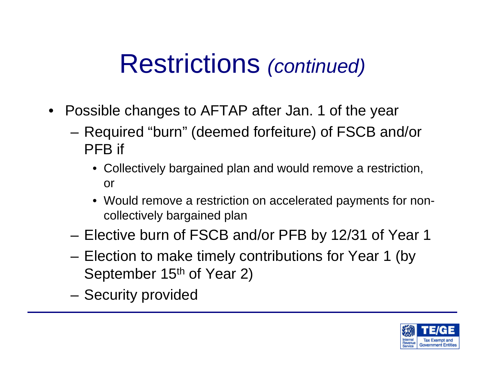- Possible changes to AFTAP after Jan. 1 of the year
	- Required "burn" (deemed forfeiture) of FSCB and/or PFB if
		- Collectively bargained plan and would remove a restriction, or
		- Would remove a restriction on accelerated payments for noncollectively bargained plan
	- Elective burn of FSCB and/or PFB by 12/31 of Year 1
	- Election to make timely contributions for Year 1 (by September 15<sup>th</sup> of Year 2)
	- Security provided

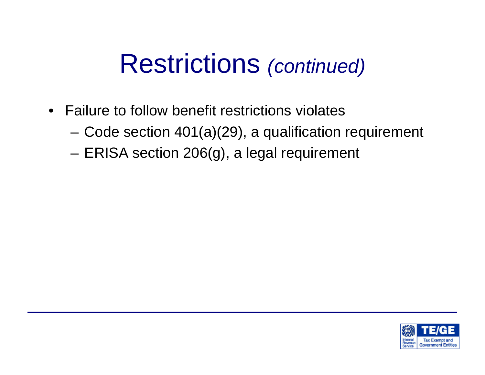- Failure to follow benefit restrictions violates
	- Code section 401(a)(29), a qualification requirement
	- ERISA section 206(g), a legal requirement

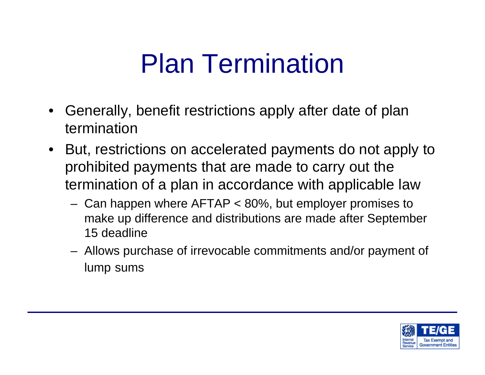## Plan Termination

- Generally, benefit restrictions apply after date of plan termination
- But, restrictions on accelerated payments do not apply to prohibited payments that are made to carry out the termination of a plan in accordance with applicable law
	- Can happen where AFTAP < 80%, but employer promises to make up difference and distributions are made after September 15 deadline
	- Allows purchase of irrevocable commitments and/or payment of lump sums

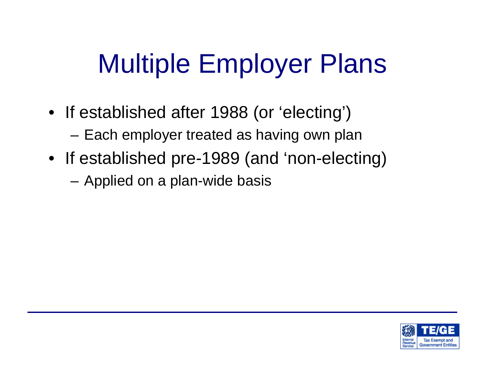# Multiple Employer Plans

- If established after 1988 (or 'electing') – Each employer treated as having own plan
- If established pre-1989 (and 'non-electing) – Applied on a plan-wide basis

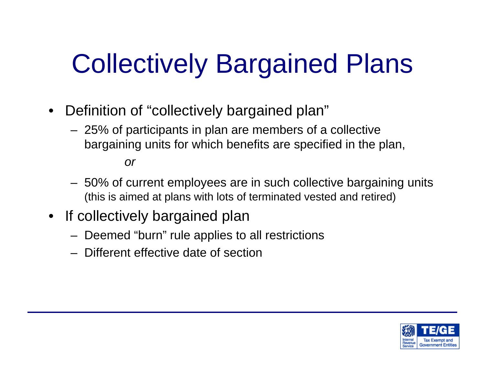# Collectively Bargained Plans

- Definition of "collectively bargained plan"
	- 25% of participants in plan are members of a collective bargaining units for which benefits are specified in the plan,

*or*

- 50% of current employees are in such collective bargaining units (this is aimed at plans with lots of terminated vested and retired)
- If collectively bargained plan
	- Deemed "burn" rule applies to all restrictions
	- Different effective date of section

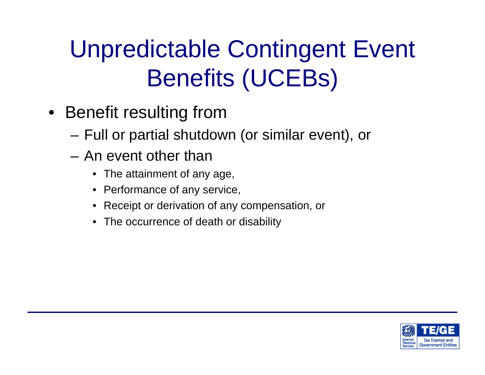## Unpredictable Contingent Event Benefits (UCEBs)

- Benefit resulting from
	- Full or partial shutdown (or similar event), or
	- An event other than
		- The attainment of any age,
		- Performance of any service,
		- Receipt or derivation of any compensation, or
		- The occurrence of death or disability

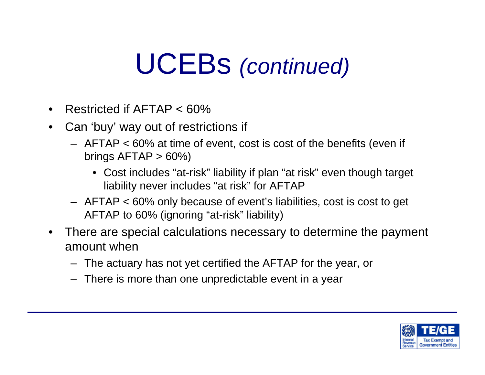# UCEBs *(continued)*

- Restricted if AFTAP < 60%
- Can 'buy' way out of restrictions if
	- AFTAP < 60% at time of event, cost is cost of the benefits (even if brings  $AFTAP > 60\%$ 
		- Cost includes "at-risk" liability if plan "at risk" even though target liability never includes "at risk" for AFTAP
	- AFTAP < 60% only because of event's liabilities, cost is cost to get AFTAP to 60% (ignoring "at-risk" liability)
- There are special calculations necessary to determine the payment amount when
	- The actuary has not yet certified the AFTAP for the year, or
	- There is more than one unpredictable event in a year

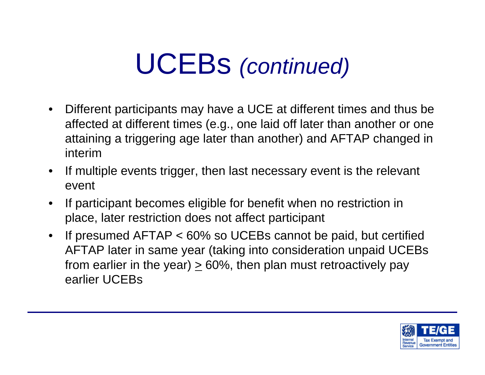# UCEBs *(continued)*

- Different participants may have a UCE at different times and thus be affected at different times (e.g., one laid off later than another or one attaining a triggering age later than another) and AFTAP changed in interim
- If multiple events trigger, then last necessary event is the relevant event
- If participant becomes eligible for benefit when no restriction in place, later restriction does not affect participant
- If presumed AFTAP < 60% so UCEBs cannot be paid, but certified AFTAP later in same year (taking into consideration unpaid UCEBs from earlier in the year)  $\geq 60\%$ , then plan must retroactively pay earlier UCEBs

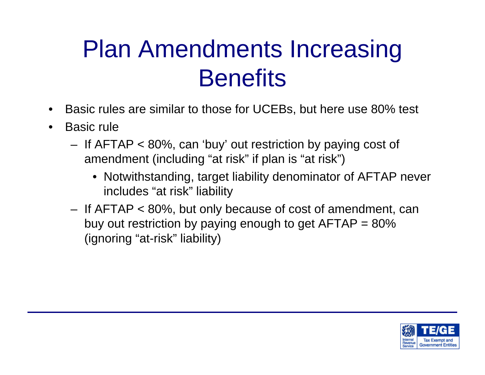### Plan Amendments Increasing **Benefits**

- Basic rules are similar to those for UCEBs, but here use 80% test
- Basic rule
	- If AFTAP < 80%, can 'buy' out restriction by paying cost of amendment (including "at risk" if plan is "at risk")
		- Notwithstanding, target liability denominator of AFTAP never includes "at risk" liability
	- If AFTAP < 80%, but only because of cost of amendment, can buy out restriction by paying enough to get  $AFTAP = 80\%$ (ignoring "at-risk" liability)

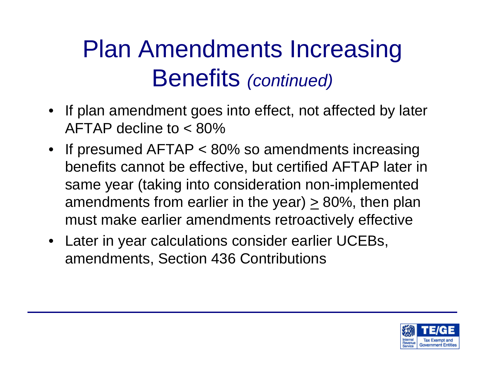- If plan amendment goes into effect, not affected by later AFTAP decline to < 80%
- If presumed AFTAP < 80% so amendments increasing benefits cannot be effective, but certified AFTAP later in same year (taking into consideration non-implemented amendments from earlier in the year)  $\geq$  80%, then plan must make earlier amendments retroactively effective
- Later in year calculations consider earlier UCEBs, amendments, Section 436 Contributions

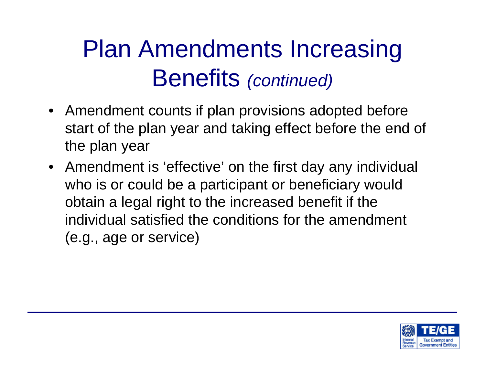- Amendment counts if plan provisions adopted before start of the plan year and taking effect before the end of the plan year
- Amendment is 'effective' on the first day any individual who is or could be a participant or beneficiary would obtain a legal right to the increased benefit if the individual satisfied the conditions for the amendment (e.g., age or service)

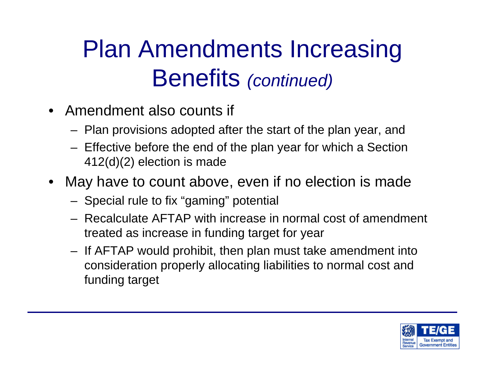- Amendment also counts if
	- Plan provisions adopted after the start of the plan year, and
	- Effective before the end of the plan year for which a Section 412(d)(2) election is made
- May have to count above, even if no election is made
	- Special rule to fix "gaming" potential
	- Recalculate AFTAP with increase in normal cost of amendment treated as increase in funding target for year
	- If AFTAP would prohibit, then plan must take amendment into consideration properly allocating liabilities to normal cost and funding target

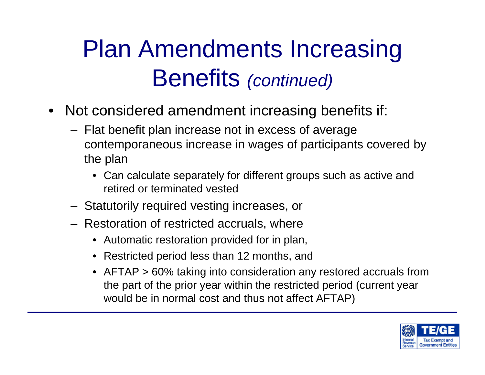- Not considered amendment increasing benefits if:
	- Flat benefit plan increase not in excess of average contemporaneous increase in wages of participants covered by the plan
		- Can calculate separately for different groups such as active and retired or terminated vested
	- Statutorily required vesting increases, or
	- Restoration of restricted accruals, where
		- Automatic restoration provided for in plan,
		- Restricted period less than 12 months, and
		- AFTAP > 60% taking into consideration any restored accruals from the part of the prior year within the restricted period (current year would be in normal cost and thus not affect AFTAP)

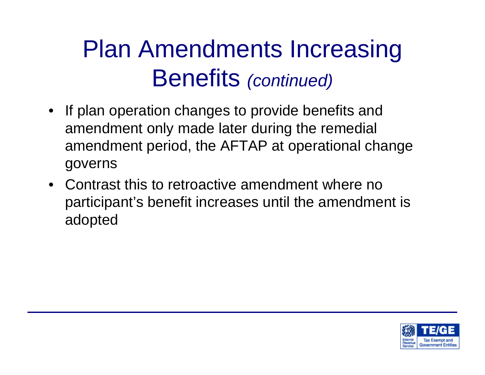- If plan operation changes to provide benefits and amendment only made later during the remedial amendment period, the AFTAP at operational change governs
- Contrast this to retroactive amendment where no participant's benefit increases until the amendment is adopted

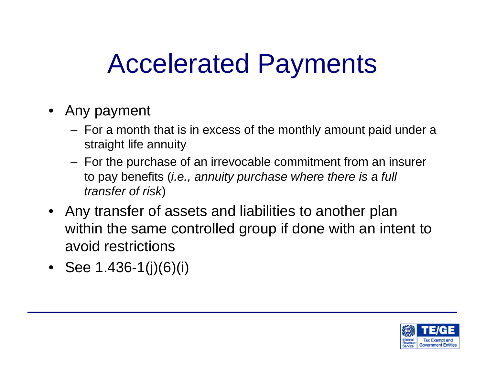## Accelerated Payments

- Any payment
	- For a month that is in excess of the monthly amount paid under a straight life annuity
	- For the purchase of an irrevocable commitment from an insurer to pay benefits (*i.e., annuity purchase where there is a full transfer of risk*)
- Any transfer of assets and liabilities to another plan within the same controlled group if done with an intent to avoid restrictions
- See 1.436-1(j)(6)(i)

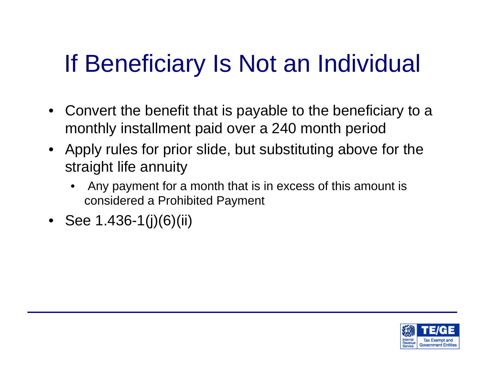## If Beneficiary Is Not an Individual

- Convert the benefit that is payable to the beneficiary to a monthly installment paid over a 240 month period
- Apply rules for prior slide, but substituting above for the straight life annuity
	- Any payment for a month that is in excess of this amount is considered a Prohibited Payment
- See 1.436-1(j)(6)(ii)

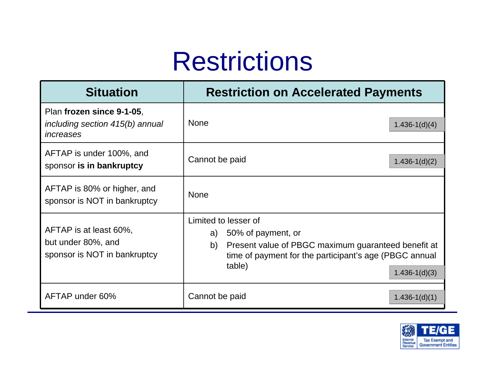### **Restrictions**

| <b>Situation</b>                                                             | <b>Restriction on Accelerated Payments</b>                                                                                                                                                             |
|------------------------------------------------------------------------------|--------------------------------------------------------------------------------------------------------------------------------------------------------------------------------------------------------|
| Plan frozen since 9-1-05,<br>including section 415(b) annual<br>increases    | <b>None</b><br>$1.436 - 1(d)(4)$                                                                                                                                                                       |
| AFTAP is under 100%, and<br>sponsor is in bankruptcy                         | Cannot be paid<br>$1.436 - 1(d)(2)$                                                                                                                                                                    |
| AFTAP is 80% or higher, and<br>sponsor is NOT in bankruptcy                  | <b>None</b>                                                                                                                                                                                            |
| AFTAP is at least 60%,<br>but under 80%, and<br>sponsor is NOT in bankruptcy | Limited to lesser of<br>50% of payment, or<br>a)<br>Present value of PBGC maximum guaranteed benefit at<br>b)<br>time of payment for the participant's age (PBGC annual<br>table)<br>$1.436 - 1(d)(3)$ |
| AFTAP under 60%                                                              | Cannot be paid<br>$1.436 - 1(d)(1)$                                                                                                                                                                    |

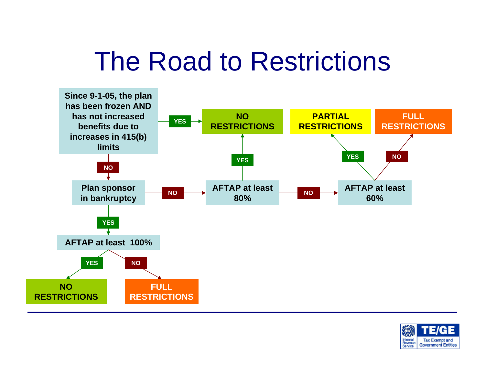## The Road to Restrictions



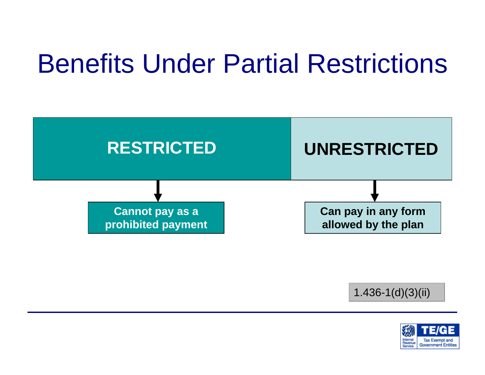## Benefits Under Partial Restrictions



1.436-1(d)(3)(ii)

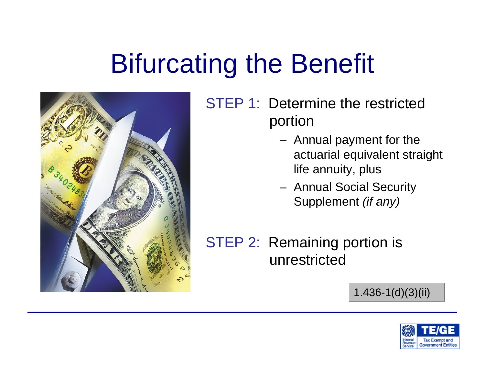## Bifurcating the Benefit



STEP 1: Determine the restricted portion

- Annual payment for the actuarial equivalent straight life annuity, plus
- Annual Social Security Supplement *(if any)*

STEP 2: Remaining portion is unrestricted

1.436-1(d)(3)(ii)